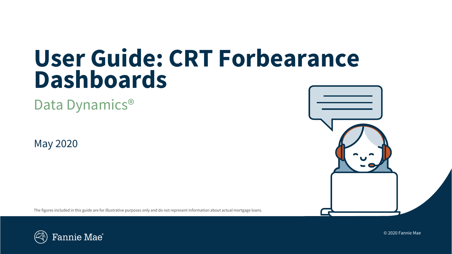# **User Guide: CRT Forbearance Dashboards**

Data Dynamics<sup>®</sup>

May 2020

The figures included in this guide are for illustrative purposes only and do not represent information about actual mortgage loans.





© 2020 Fannie Mae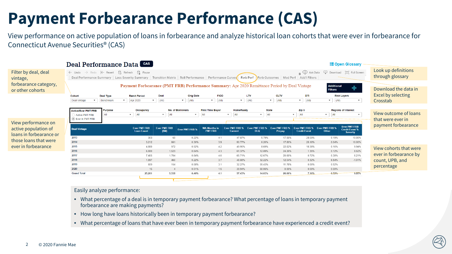### **Payment Forbearance Performance (CAS)**

View performance on active population of loans in forbearance and analyze historical loan cohorts that were ever in forbearance for Connecticut Avenue Securities® (CAS)



- What percentage of a deal is in temporary payment forbearance? What percentage of loans in temporary payment forbearance are making payments?
- How long have loans historically been in temporary payment forbearance?
- What percentage of loans that have ever been in temporary payment forbearance have experienced a credit event?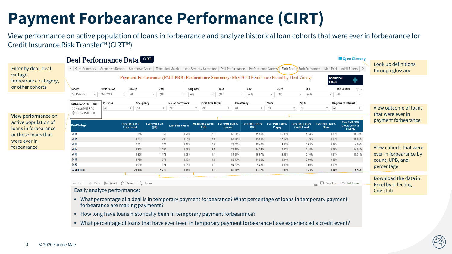### **Payment Forbearance Performance (CIRT)**

View performance on active population of loans in forbearance and analyze historical loan cohorts that were ever in forbearance for Credit Insurance Risk Transfer™ (CIRT™)



- How long have loans historically been in temporary payment forbearance?
- What percentage of loans that have ever been in temporary payment forbearance have experienced a credit event?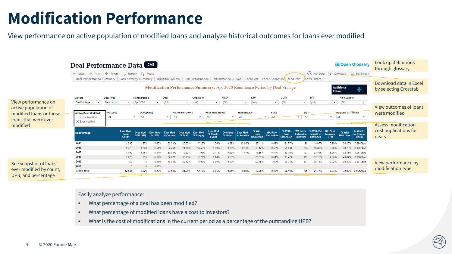### **Modification Performance**

View performance on active population of modified loans and analyze historical outcomes for loans ever modified



- What percentage of a deal has been modified?
- What percentage of modified loans have a cost to investors?
- What is the cost of modifications in the current period as a percentage of the outstanding UPB?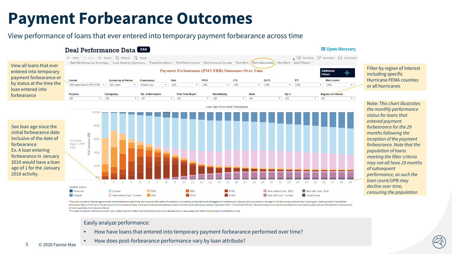### **Payment Forbearance Outcomes**

### View performance of loans that ever entered into temporary payment forbearance across time



\*The x-axis is based on the loan age since the initial forbearance date of the loan inclusive of the dani nclusive of the date of forbearance. For example, a loan that was first tagged as in forbearance il January 2018 wou delinquency status of the loan in the period prior to the forbearance tag. In the above example, the starting cohort would refer to the delinquency status in December 2017. "Current As Of Period" allows the user to only lo all loans regardless of delinquency status)

\*\*For determining the modification cohort, cost is determined by whether the modification had a cost to the deal that it's associated with rather than the type of modification it was

- How have loans that entered into temporary payment forbearance performed over time?
- How does post-forbearance performance vary by loan attribute?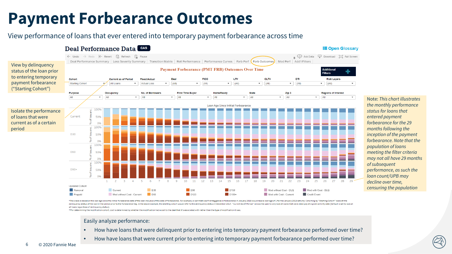### **Payment Forbearance Outcomes**

#### View performance of loans that ever entered into temporary payment forbearance across time



\*The x-axis is based on the loan age since the initial forbearance date of the loan inclusive of the date of forbearance. For example, a loan that was first tagged as in forbearance in January 2018 would have a loan age of delinquency status of the loan in the period prior to the forbearance tag. In the above example, the starting cohort would refer to the delinquency status in December 2017. "Current As Of Period" allows the user to only lo all loans regardless of delinguency status)

\*\*For determining the modification cohort, cost is determined by whether the modification had a cost to the deal that it's associated with rather than the type of modification it was.

- How have loans that were delinguent prior to entering into temporary payment forbearance performed over time?
- How have loans that were current prior to entering into temporary payment forbearance performed over time?